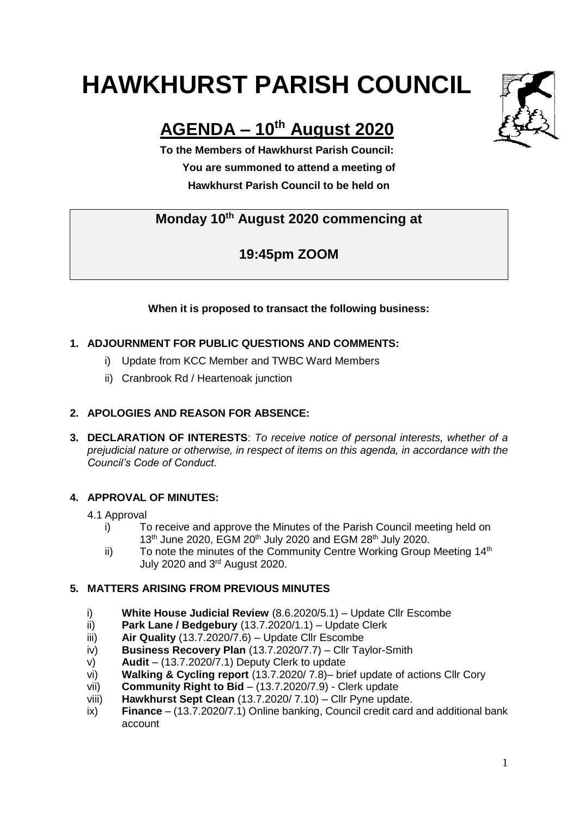# **HAWKHURST PARISH COUNCIL**

# **AGENDA – 10th August 2020**

**To the Members of Hawkhurst Parish Council: You are summoned to attend a meeting of Hawkhurst Parish Council to be held on**

## **Monday 10 th August 2020 commencing at**

## **19:45pm ZOOM**

#### **When it is proposed to transact the following business:**

#### **1. ADJOURNMENT FOR PUBLIC QUESTIONS AND COMMENTS:**

- i) Update from KCC Member and TWBC Ward Members
- ii) Cranbrook Rd / Heartenoak junction

#### **2. APOLOGIES AND REASON FOR ABSENCE:**

**3. DECLARATION OF INTERESTS**: *To receive notice of personal interests, whether of a prejudicial nature or otherwise, in respect of items on this agenda, in accordance with the Council's Code of Conduct.*

#### **4. APPROVAL OF MINUTES:**

#### 4.1 Approval

- i) To receive and approve the Minutes of the Parish Council meeting held on 13<sup>th</sup> June 2020, EGM 20<sup>th</sup> July 2020 and EGM 28<sup>th</sup> July 2020.
- ii) To note the minutes of the Community Centre Working Group Meeting 14<sup>th</sup> July 2020 and 3rd August 2020.

#### **5. MATTERS ARISING FROM PREVIOUS MINUTES**

- i) **White House Judicial Review** (8.6.2020/5.1) Update Cllr Escombe
- ii) **Park Lane / Bedgebury** (13.7.2020/1.1) Update Clerk
- iii) **Air Quality** (13.7.2020/7.6) Update Cllr Escombe
- iv) **Business Recovery Plan** (13.7.2020/7.7) Cllr Taylor-Smith
- v) **Audit** (13.7.2020/7.1) Deputy Clerk to update
- vi) **Walking & Cycling report** (13.7.2020/ 7.8)– brief update of actions Cllr Cory
- vii) **Community Right to Bid** (13.7.2020/7.9) Clerk update
- viii) **Hawkhurst Sept Clean** (13.7.2020/ 7.10) Cllr Pyne update.
- ix) **Finance** (13.7.2020/7.1) Online banking, Council credit card and additional bank account

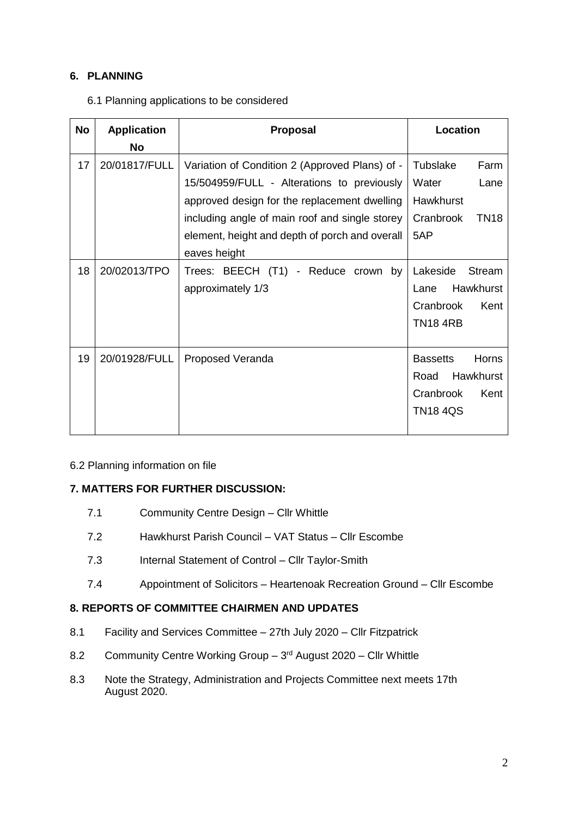#### **6. PLANNING**

6.1 Planning applications to be considered

| <b>No</b> | <b>Application</b><br>No | Proposal                                                                                                                                                                                                                                                         | Location                                                                              |
|-----------|--------------------------|------------------------------------------------------------------------------------------------------------------------------------------------------------------------------------------------------------------------------------------------------------------|---------------------------------------------------------------------------------------|
| 17        | 20/01817/FULL            | Variation of Condition 2 (Approved Plans) of -<br>15/504959/FULL - Alterations to previously<br>approved design for the replacement dwelling<br>including angle of main roof and single storey<br>element, height and depth of porch and overall<br>eaves height | Tubslake<br>Farm<br>Water<br>Lane<br>Hawkhurst<br>Cranbrook<br><b>TN18</b><br>5AP     |
| 18        | 20/02013/TPO             | Trees: BEECH (T1) - Reduce crown<br>by<br>approximately 1/3                                                                                                                                                                                                      | Lakeside<br>Stream<br>Hawkhurst<br>Lane<br>Cranbrook<br>Kent<br><b>TN184RB</b>        |
| 19        | 20/01928/FULL            | Proposed Veranda                                                                                                                                                                                                                                                 | Horns<br><b>Bassetts</b><br>Hawkhurst<br>Road<br>Kent<br>Cranbrook<br><b>TN18 4QS</b> |

#### 6.2 Planning information on file

#### **7. MATTERS FOR FURTHER DISCUSSION:**

- 7.1 Community Centre Design Cllr Whittle
- 7.2 Hawkhurst Parish Council VAT Status Cllr Escombe
- 7.3 Internal Statement of Control Cllr Taylor-Smith
- 7.4 Appointment of Solicitors Heartenoak Recreation Ground Cllr Escombe

#### **8. REPORTS OF COMMITTEE CHAIRMEN AND UPDATES**

- 8.1 Facility and Services Committee 27th July 2020 Cllr Fitzpatrick
- 8.2 Community Centre Working Group 3rd August 2020 Cllr Whittle
- 8.3 Note the Strategy, Administration and Projects Committee next meets 17th August 2020.